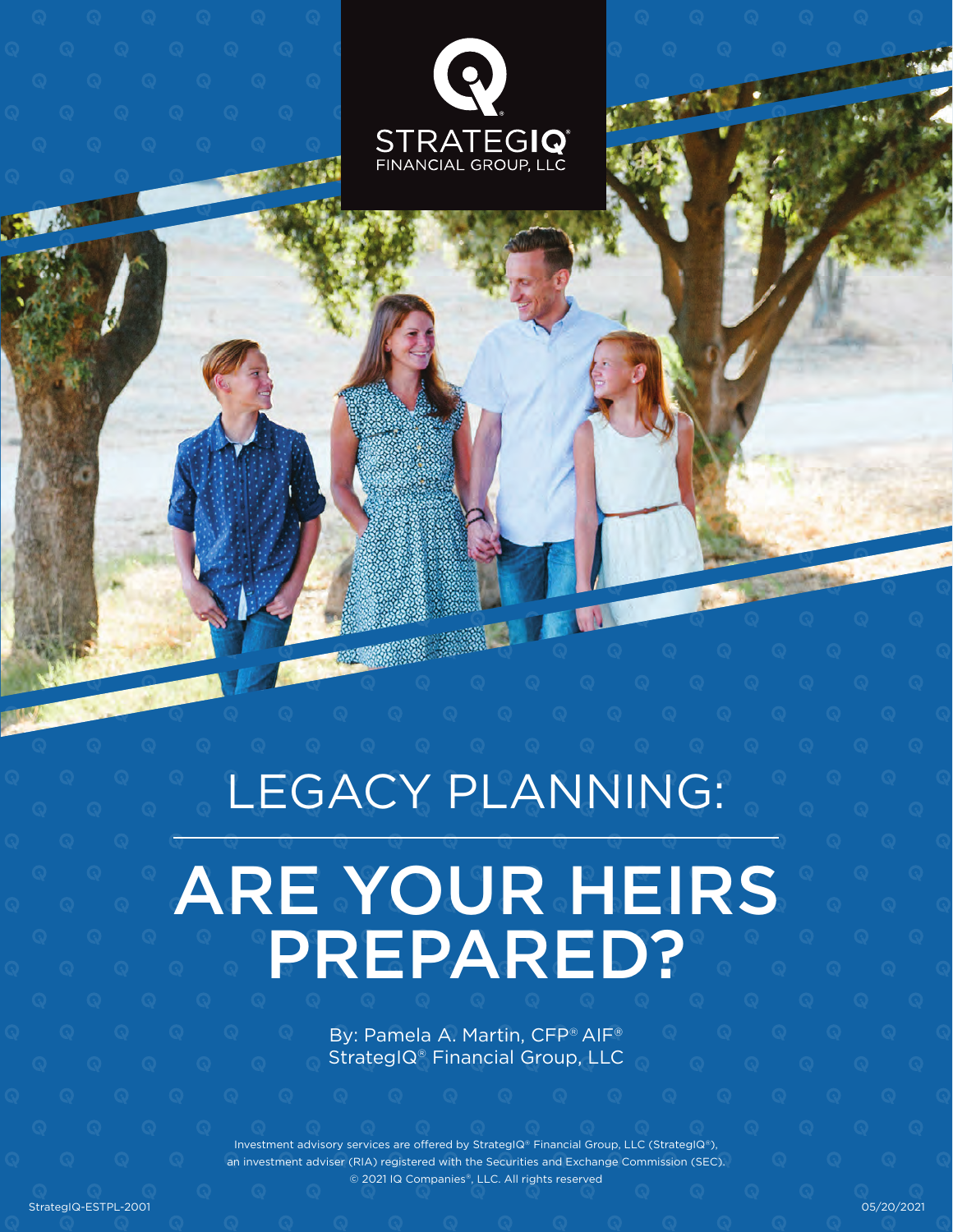



# LEGACY PLANNING:

## ARE YOUR HEIRS PREPARED?

By: Pamela A. Martin, CFP® AIF® StrategIQ® Financial Group, LLC

Investment advisory services are offered by StrategIQ® Financial Group, LLC (StrategIQ®), tment adviser (RIA) registered with the Securities and Exchange Commission (SEC). © 2021 IQ Companies®, LLC. All rights reserved

StrategIQ-ESTPL-2001 05/20/2021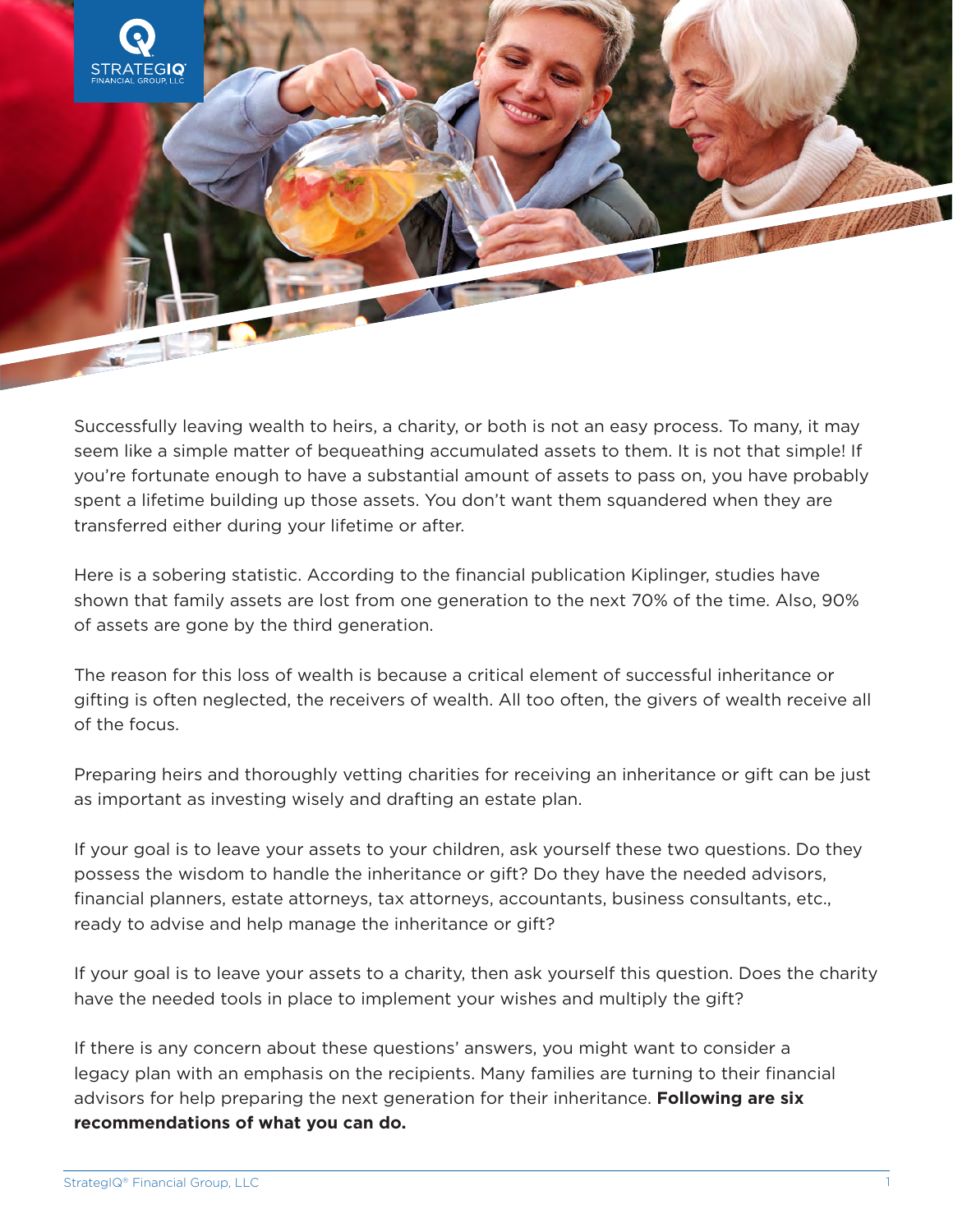

Successfully leaving wealth to heirs, a charity, or both is not an easy process. To many, it may seem like a simple matter of bequeathing accumulated assets to them. It is not that simple! If you're fortunate enough to have a substantial amount of assets to pass on, you have probably spent a lifetime building up those assets. You don't want them squandered when they are transferred either during your lifetime or after.

Here is a sobering statistic. According to the financial publication Kiplinger, studies have shown that family assets are lost from one generation to the next 70% of the time. Also, 90% of assets are gone by the third generation.

The reason for this loss of wealth is because a critical element of successful inheritance or gifting is often neglected, the receivers of wealth. All too often, the givers of wealth receive all of the focus.

Preparing heirs and thoroughly vetting charities for receiving an inheritance or gift can be just as important as investing wisely and drafting an estate plan.

If your goal is to leave your assets to your children, ask yourself these two questions. Do they possess the wisdom to handle the inheritance or gift? Do they have the needed advisors, financial planners, estate attorneys, tax attorneys, accountants, business consultants, etc., ready to advise and help manage the inheritance or gift?

If your goal is to leave your assets to a charity, then ask yourself this question. Does the charity have the needed tools in place to implement your wishes and multiply the gift?

If there is any concern about these questions' answers, you might want to consider a legacy plan with an emphasis on the recipients. Many families are turning to their financial advisors for help preparing the next generation for their inheritance. **Following are six recommendations of what you can do.**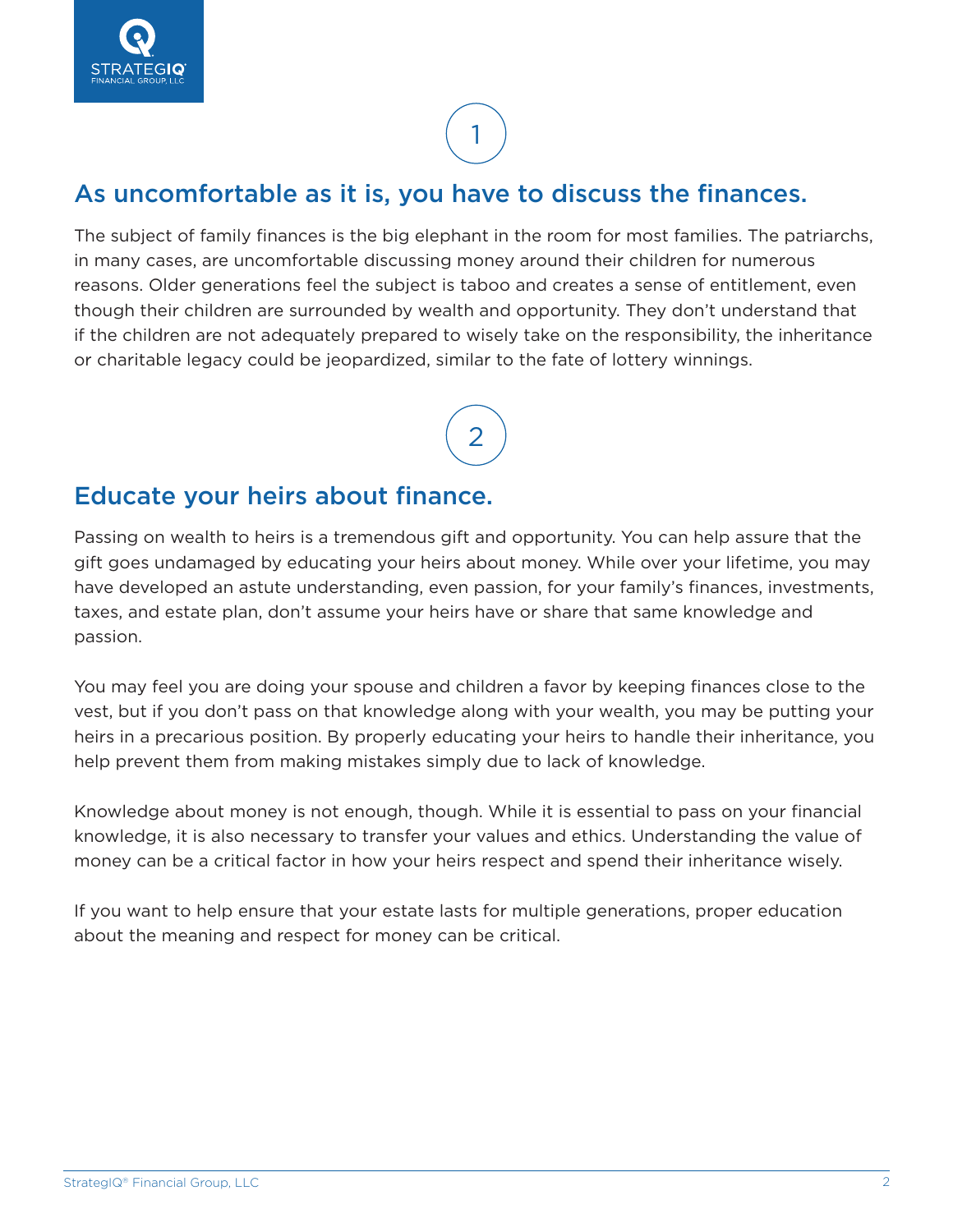### 1

#### As uncomfortable as it is, you have to discuss the finances.

The subject of family finances is the big elephant in the room for most families. The patriarchs, in many cases, are uncomfortable discussing money around their children for numerous reasons. Older generations feel the subject is taboo and creates a sense of entitlement, even though their children are surrounded by wealth and opportunity. They don't understand that if the children are not adequately prepared to wisely take on the responsibility, the inheritance or charitable legacy could be jeopardized, similar to the fate of lottery winnings.

2

#### Educate your heirs about finance.

Passing on wealth to heirs is a tremendous gift and opportunity. You can help assure that the gift goes undamaged by educating your heirs about money. While over your lifetime, you may have developed an astute understanding, even passion, for your family's finances, investments, taxes, and estate plan, don't assume your heirs have or share that same knowledge and passion.

You may feel you are doing your spouse and children a favor by keeping finances close to the vest, but if you don't pass on that knowledge along with your wealth, you may be putting your heirs in a precarious position. By properly educating your heirs to handle their inheritance, you help prevent them from making mistakes simply due to lack of knowledge.

Knowledge about money is not enough, though. While it is essential to pass on your financial knowledge, it is also necessary to transfer your values and ethics. Understanding the value of money can be a critical factor in how your heirs respect and spend their inheritance wisely.

If you want to help ensure that your estate lasts for multiple generations, proper education about the meaning and respect for money can be critical.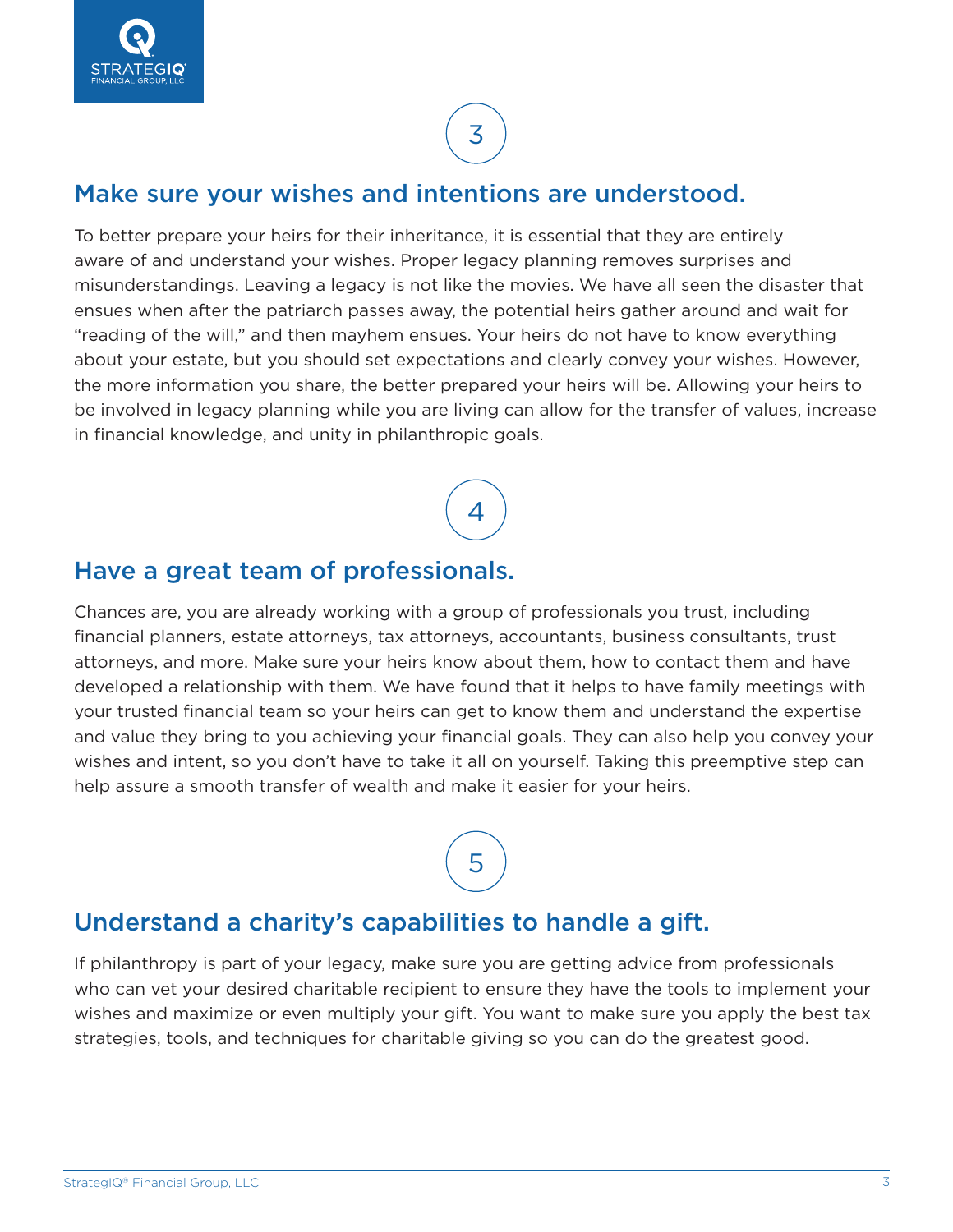

### 3

#### Make sure your wishes and intentions are understood.

To better prepare your heirs for their inheritance, it is essential that they are entirely aware of and understand your wishes. Proper legacy planning removes surprises and misunderstandings. Leaving a legacy is not like the movies. We have all seen the disaster that ensues when after the patriarch passes away, the potential heirs gather around and wait for "reading of the will," and then mayhem ensues. Your heirs do not have to know everything about your estate, but you should set expectations and clearly convey your wishes. However, the more information you share, the better prepared your heirs will be. Allowing your heirs to be involved in legacy planning while you are living can allow for the transfer of values, increase in financial knowledge, and unity in philanthropic goals.

4

#### Have a great team of professionals.

Chances are, you are already working with a group of professionals you trust, including financial planners, estate attorneys, tax attorneys, accountants, business consultants, trust attorneys, and more. Make sure your heirs know about them, how to contact them and have developed a relationship with them. We have found that it helps to have family meetings with your trusted financial team so your heirs can get to know them and understand the expertise and value they bring to you achieving your financial goals. They can also help you convey your wishes and intent, so you don't have to take it all on yourself. Taking this preemptive step can help assure a smooth transfer of wealth and make it easier for your heirs.

### 5

#### Understand a charity's capabilities to handle a gift.

If philanthropy is part of your legacy, make sure you are getting advice from professionals who can vet your desired charitable recipient to ensure they have the tools to implement your wishes and maximize or even multiply your gift. You want to make sure you apply the best tax strategies, tools, and techniques for charitable giving so you can do the greatest good.